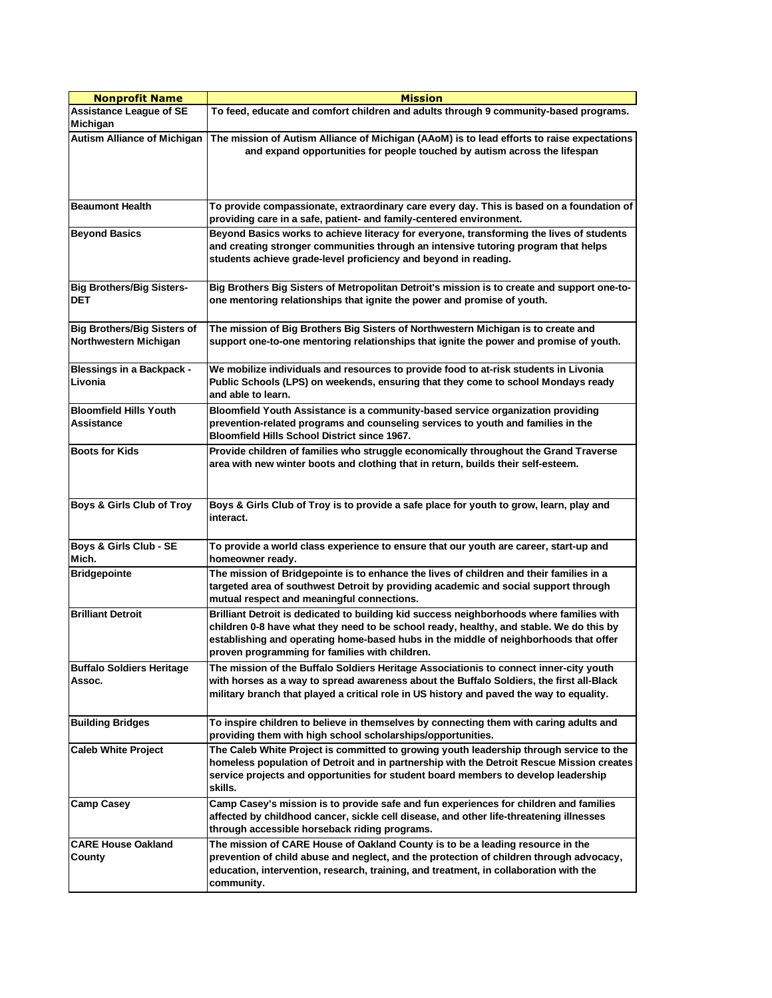| <b>Nonprofit Name</b>                                       | <b>Mission</b>                                                                                                                                                                                                                                                                                                                |
|-------------------------------------------------------------|-------------------------------------------------------------------------------------------------------------------------------------------------------------------------------------------------------------------------------------------------------------------------------------------------------------------------------|
| <b>Assistance League of SE</b><br>Michigan                  | To feed, educate and comfort children and adults through 9 community-based programs.                                                                                                                                                                                                                                          |
| <b>Autism Alliance of Michigan</b>                          | The mission of Autism Alliance of Michigan (AAoM) is to lead efforts to raise expectations<br>and expand opportunities for people touched by autism across the lifespan                                                                                                                                                       |
| <b>Beaumont Health</b>                                      | To provide compassionate, extraordinary care every day. This is based on a foundation of<br>providing care in a safe, patient- and family-centered environment.                                                                                                                                                               |
| <b>Beyond Basics</b>                                        | Beyond Basics works to achieve literacy for everyone, transforming the lives of students<br>and creating stronger communities through an intensive tutoring program that helps<br>students achieve grade-level proficiency and beyond in reading.                                                                             |
| <b>Big Brothers/Big Sisters-</b><br><b>DET</b>              | Big Brothers Big Sisters of Metropolitan Detroit's mission is to create and support one-to-<br>one mentoring relationships that ignite the power and promise of youth.                                                                                                                                                        |
| <b>Big Brothers/Big Sisters of</b><br>Northwestern Michigan | The mission of Big Brothers Big Sisters of Northwestern Michigan is to create and<br>support one-to-one mentoring relationships that ignite the power and promise of youth.                                                                                                                                                   |
| <b>Blessings in a Backpack -</b><br>Livonia                 | We mobilize individuals and resources to provide food to at-risk students in Livonia<br>Public Schools (LPS) on weekends, ensuring that they come to school Mondays ready<br>and able to learn.                                                                                                                               |
| <b>Bloomfield Hills Youth</b><br>Assistance                 | Bloomfield Youth Assistance is a community-based service organization providing<br>prevention-related programs and counseling services to youth and families in the<br><b>Bloomfield Hills School District since 1967.</b>                                                                                                    |
| <b>Boots for Kids</b>                                       | Provide children of families who struggle economically throughout the Grand Traverse<br>area with new winter boots and clothing that in return, builds their self-esteem.                                                                                                                                                     |
| Boys & Girls Club of Troy                                   | Boys & Girls Club of Troy is to provide a safe place for youth to grow, learn, play and<br>interact.                                                                                                                                                                                                                          |
| Boys & Girls Club - SE<br>Mich.                             | To provide a world class experience to ensure that our youth are career, start-up and<br>homeowner ready.                                                                                                                                                                                                                     |
| <b>Bridgepointe</b>                                         | The mission of Bridgepointe is to enhance the lives of children and their families in a<br>targeted area of southwest Detroit by providing academic and social support through<br>mutual respect and meaningful connections.                                                                                                  |
| <b>Brilliant Detroit</b>                                    | Brilliant Detroit is dedicated to building kid success neighborhoods where families with<br>children 0-8 have what they need to be school ready, healthy, and stable. We do this by<br>establishing and operating home-based hubs in the middle of neighborhoods that offer<br>proven programming for families with children. |
| <b>Buffalo Soldiers Heritage</b><br>Assoc.                  | The mission of the Buffalo Soldiers Heritage Associationis to connect inner-city youth<br>with horses as a way to spread awareness about the Buffalo Soldiers, the first all-Black<br>military branch that played a critical role in US history and paved the way to equality.                                                |
| <b>Building Bridges</b>                                     | To inspire children to believe in themselves by connecting them with caring adults and<br>providing them with high school scholarships/opportunities.                                                                                                                                                                         |
| <b>Caleb White Project</b>                                  | The Caleb White Project is committed to growing youth leadership through service to the<br>homeless population of Detroit and in partnership with the Detroit Rescue Mission creates<br>service projects and opportunities for student board members to develop leadership<br>skills.                                         |
| <b>Camp Casey</b>                                           | Camp Casey's mission is to provide safe and fun experiences for children and families<br>affected by childhood cancer, sickle cell disease, and other life-threatening illnesses<br>through accessible horseback riding programs.                                                                                             |
| <b>CARE House Oakland</b><br>County                         | The mission of CARE House of Oakland County is to be a leading resource in the<br>prevention of child abuse and neglect, and the protection of children through advocacy,<br>education, intervention, research, training, and treatment, in collaboration with the<br>community.                                              |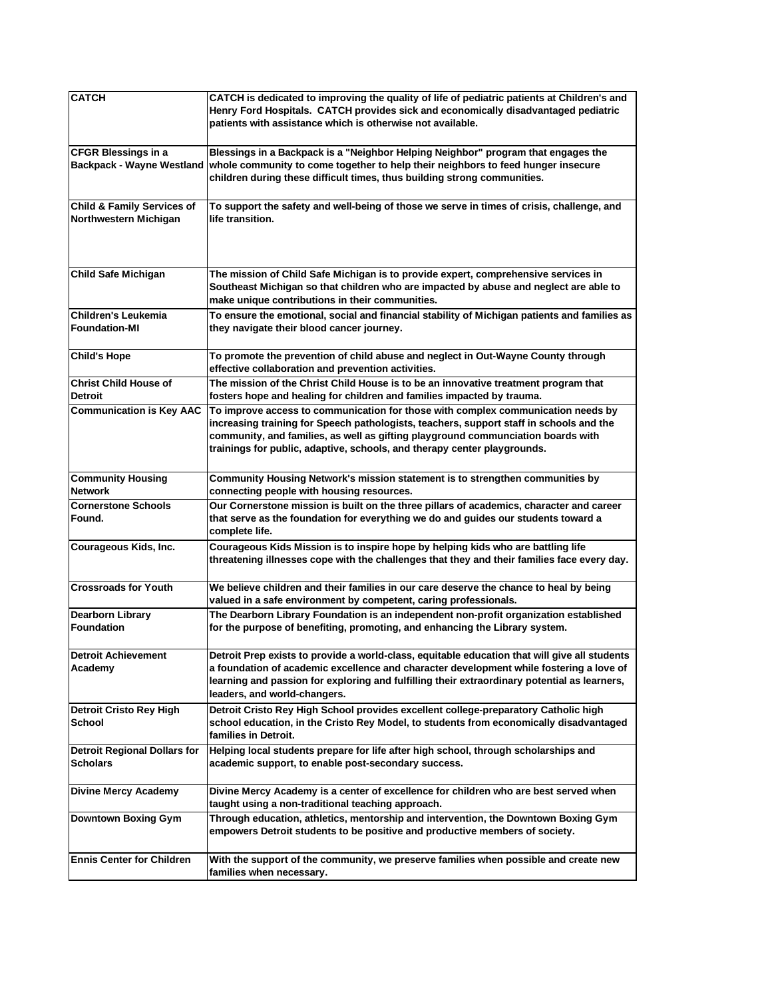| <b>CATCH</b>                                                   | CATCH is dedicated to improving the quality of life of pediatric patients at Children's and<br>Henry Ford Hospitals. CATCH provides sick and economically disadvantaged pediatric<br>patients with assistance which is otherwise not available.                                                                                             |
|----------------------------------------------------------------|---------------------------------------------------------------------------------------------------------------------------------------------------------------------------------------------------------------------------------------------------------------------------------------------------------------------------------------------|
| <b>CFGR Blessings in a</b><br><b>Backpack - Wayne Westland</b> | Blessings in a Backpack is a "Neighbor Helping Neighbor" program that engages the<br>whole community to come together to help their neighbors to feed hunger insecure<br>children during these difficult times, thus building strong communities.                                                                                           |
| <b>Child &amp; Family Services of</b><br>Northwestern Michigan | To support the safety and well-being of those we serve in times of crisis, challenge, and<br>life transition.                                                                                                                                                                                                                               |
| <b>Child Safe Michigan</b>                                     | The mission of Child Safe Michigan is to provide expert, comprehensive services in<br>Southeast Michigan so that children who are impacted by abuse and neglect are able to<br>make unique contributions in their communities.                                                                                                              |
| <b>Children's Leukemia</b><br><b>Foundation-MI</b>             | To ensure the emotional, social and financial stability of Michigan patients and families as<br>they navigate their blood cancer journey.                                                                                                                                                                                                   |
| <b>Child's Hope</b>                                            | To promote the prevention of child abuse and neglect in Out-Wayne County through<br>effective collaboration and prevention activities.                                                                                                                                                                                                      |
| <b>Christ Child House of</b><br><b>Detroit</b>                 | The mission of the Christ Child House is to be an innovative treatment program that<br>fosters hope and healing for children and families impacted by trauma.                                                                                                                                                                               |
| <b>Communication is Key AAC</b>                                | To improve access to communication for those with complex communication needs by<br>increasing training for Speech pathologists, teachers, support staff in schools and the<br>community, and families, as well as gifting playground communciation boards with<br>trainings for public, adaptive, schools, and therapy center playgrounds. |
| <b>Community Housing</b><br><b>Network</b>                     | Community Housing Network's mission statement is to strengthen communities by<br>connecting people with housing resources.                                                                                                                                                                                                                  |
| <b>Cornerstone Schools</b><br>Found.                           | Our Cornerstone mission is built on the three pillars of academics, character and career<br>that serve as the foundation for everything we do and guides our students toward a<br>complete life.                                                                                                                                            |
| Courageous Kids, Inc.                                          | Courageous Kids Mission is to inspire hope by helping kids who are battling life<br>threatening illnesses cope with the challenges that they and their families face every day.                                                                                                                                                             |
| <b>Crossroads for Youth</b>                                    | We believe children and their families in our care deserve the chance to heal by being<br>valued in a safe environment by competent, caring professionals.                                                                                                                                                                                  |
| <b>Dearborn Library</b><br>Foundation                          | The Dearborn Library Foundation is an independent non-profit organization established<br>for the purpose of benefiting, promoting, and enhancing the Library system.                                                                                                                                                                        |
| <b>Detroit Achievement</b><br>Academy                          | Detroit Prep exists to provide a world-class, equitable education that will give all students<br>a foundation of academic excellence and character development while fostering a love of<br>learning and passion for exploring and fulfilling their extraordinary potential as learners,<br>leaders, and world-changers.                    |
| <b>Detroit Cristo Rey High</b><br>School                       | Detroit Cristo Rey High School provides excellent college-preparatory Catholic high<br>school education, in the Cristo Rey Model, to students from economically disadvantaged<br>families in Detroit.                                                                                                                                       |
| <b>Detroit Regional Dollars for</b><br><b>Scholars</b>         | Helping local students prepare for life after high school, through scholarships and<br>academic support, to enable post-secondary success.                                                                                                                                                                                                  |
| <b>Divine Mercy Academy</b>                                    | Divine Mercy Academy is a center of excellence for children who are best served when<br>taught using a non-traditional teaching approach.                                                                                                                                                                                                   |
| <b>Downtown Boxing Gym</b>                                     | Through education, athletics, mentorship and intervention, the Downtown Boxing Gym<br>empowers Detroit students to be positive and productive members of society.                                                                                                                                                                           |
| <b>Ennis Center for Children</b>                               | With the support of the community, we preserve families when possible and create new<br>families when necessary.                                                                                                                                                                                                                            |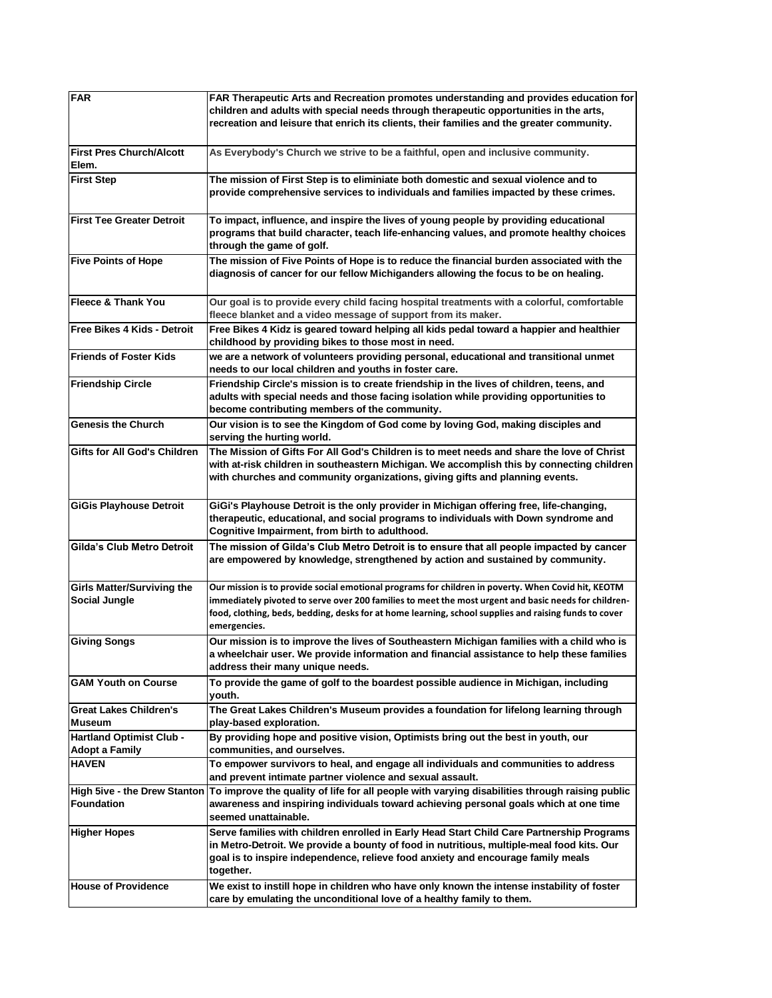| <b>FAR</b>                                                | FAR Therapeutic Arts and Recreation promotes understanding and provides education for<br>children and adults with special needs through therapeutic opportunities in the arts,<br>recreation and leisure that enrich its clients, their families and the greater community.                                                         |
|-----------------------------------------------------------|-------------------------------------------------------------------------------------------------------------------------------------------------------------------------------------------------------------------------------------------------------------------------------------------------------------------------------------|
| <b>First Pres Church/Alcott</b><br>Elem.                  | As Everybody's Church we strive to be a faithful, open and inclusive community.                                                                                                                                                                                                                                                     |
| <b>First Step</b>                                         | The mission of First Step is to eliminiate both domestic and sexual violence and to<br>provide comprehensive services to individuals and families impacted by these crimes.                                                                                                                                                         |
| <b>First Tee Greater Detroit</b>                          | To impact, influence, and inspire the lives of young people by providing educational<br>programs that build character, teach life-enhancing values, and promote healthy choices<br>through the game of golf.                                                                                                                        |
| <b>Five Points of Hope</b>                                | The mission of Five Points of Hope is to reduce the financial burden associated with the<br>diagnosis of cancer for our fellow Michiganders allowing the focus to be on healing.                                                                                                                                                    |
| <b>Fleece &amp; Thank You</b>                             | Our goal is to provide every child facing hospital treatments with a colorful, comfortable<br>fleece blanket and a video message of support from its maker.                                                                                                                                                                         |
| <b>Free Bikes 4 Kids - Detroit</b>                        | Free Bikes 4 Kidz is geared toward helping all kids pedal toward a happier and healthier<br>childhood by providing bikes to those most in need.                                                                                                                                                                                     |
| <b>Friends of Foster Kids</b>                             | we are a network of volunteers providing personal, educational and transitional unmet<br>needs to our local children and youths in foster care.                                                                                                                                                                                     |
| <b>Friendship Circle</b>                                  | Friendship Circle's mission is to create friendship in the lives of children, teens, and<br>adults with special needs and those facing isolation while providing opportunities to<br>become contributing members of the community.                                                                                                  |
| <b>Genesis the Church</b>                                 | Our vision is to see the Kingdom of God come by loving God, making disciples and<br>serving the hurting world.                                                                                                                                                                                                                      |
| Gifts for All God's Children                              | The Mission of Gifts For All God's Children is to meet needs and share the love of Christ<br>with at-risk children in southeastern Michigan. We accomplish this by connecting children<br>with churches and community organizations, giving gifts and planning events.                                                              |
| <b>GiGis Playhouse Detroit</b>                            | GiGi's Playhouse Detroit is the only provider in Michigan offering free, life-changing,<br>therapeutic, educational, and social programs to individuals with Down syndrome and<br>Cognitive Impairment, from birth to adulthood.                                                                                                    |
| Gilda's Club Metro Detroit                                | The mission of Gilda's Club Metro Detroit is to ensure that all people impacted by cancer<br>are empowered by knowledge, strengthened by action and sustained by community.                                                                                                                                                         |
| <b>Girls Matter/Surviving the</b><br><b>Social Jungle</b> | Our mission is to provide social emotional programs for children in poverty. When Covid hit, KEOTM<br>immediately pivoted to serve over 200 families to meet the most urgent and basic needs for children-<br>food, clothing, beds, bedding, desks for at home learning, school supplies and raising funds to cover<br>emergencies. |
| <b>Giving Songs</b>                                       | Our mission is to improve the lives of Southeastern Michigan families with a child who is<br>a wheelchair user. We provide information and financial assistance to help these families<br>address their many unique needs.                                                                                                          |
| <b>GAM Youth on Course</b>                                | To provide the game of golf to the boardest possible audience in Michigan, including<br>youth.                                                                                                                                                                                                                                      |
| <b>Great Lakes Children's</b><br><b>Museum</b>            | The Great Lakes Children's Museum provides a foundation for lifelong learning through<br>play-based exploration.                                                                                                                                                                                                                    |
| <b>Hartland Optimist Club -</b><br><b>Adopt a Family</b>  | By providing hope and positive vision, Optimists bring out the best in youth, our<br>communities, and ourselves.                                                                                                                                                                                                                    |
| <b>HAVEN</b>                                              | To empower survivors to heal, and engage all individuals and communities to address<br>and prevent intimate partner violence and sexual assault.                                                                                                                                                                                    |
| <b>High 5ive - the Drew Stanton</b><br><b>Foundation</b>  | To improve the quality of life for all people with varying disabilities through raising public<br>awareness and inspiring individuals toward achieving personal goals which at one time<br>seemed unattainable.                                                                                                                     |
| <b>Higher Hopes</b>                                       | Serve families with children enrolled in Early Head Start Child Care Partnership Programs<br>in Metro-Detroit. We provide a bounty of food in nutritious, multiple-meal food kits. Our<br>goal is to inspire independence, relieve food anxiety and encourage family meals<br>together.                                             |
| <b>House of Providence</b>                                | We exist to instill hope in children who have only known the intense instability of foster<br>care by emulating the unconditional love of a healthy family to them.                                                                                                                                                                 |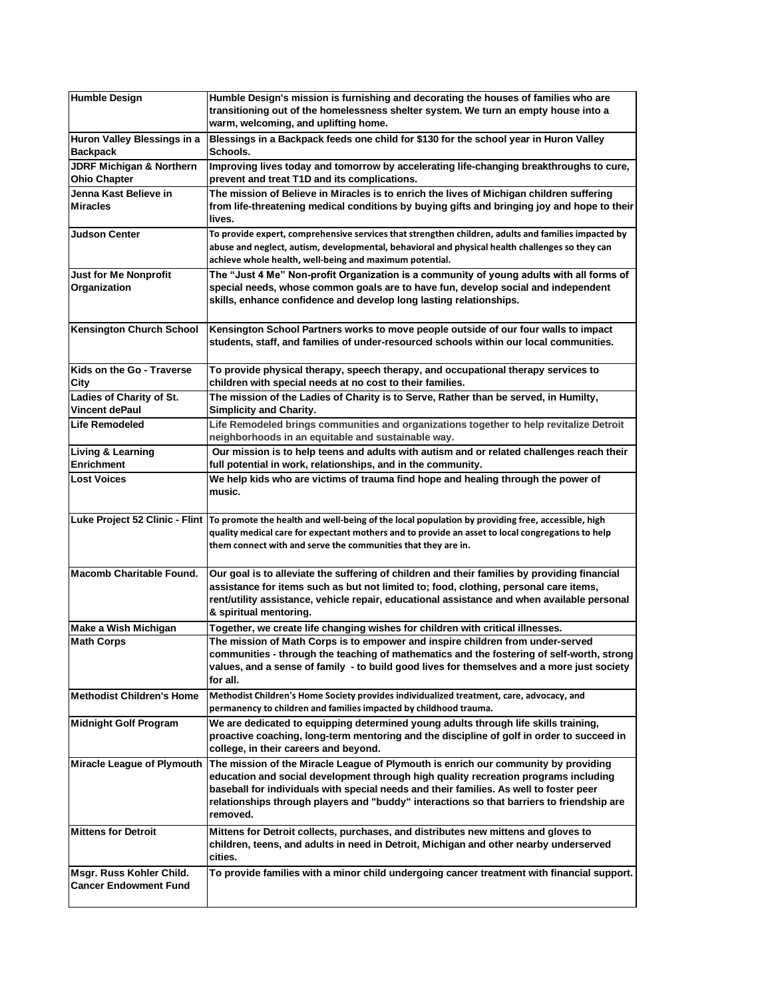| <b>Humble Design</b>                                       | Humble Design's mission is furnishing and decorating the houses of families who are<br>transitioning out of the homelessness shelter system. We turn an empty house into a<br>warm, welcoming, and uplifting home.                                                                                                                                                           |
|------------------------------------------------------------|------------------------------------------------------------------------------------------------------------------------------------------------------------------------------------------------------------------------------------------------------------------------------------------------------------------------------------------------------------------------------|
| Huron Valley Blessings in a<br><b>Backpack</b>             | Blessings in a Backpack feeds one child for \$130 for the school year in Huron Valley<br>Schools.                                                                                                                                                                                                                                                                            |
| <b>JDRF Michigan &amp; Northern</b><br><b>Ohio Chapter</b> | Improving lives today and tomorrow by accelerating life-changing breakthroughs to cure,<br>prevent and treat T1D and its complications.                                                                                                                                                                                                                                      |
| Jenna Kast Believe in<br><b>Miracles</b>                   | The mission of Believe in Miracles is to enrich the lives of Michigan children suffering<br>from life-threatening medical conditions by buying gifts and bringing joy and hope to their<br>lives.                                                                                                                                                                            |
| Judson Center                                              | To provide expert, comprehensive services that strengthen children, adults and families impacted by<br>abuse and neglect, autism, developmental, behavioral and physical health challenges so they can<br>achieve whole health, well-being and maximum potential.                                                                                                            |
| <b>Just for Me Nonprofit</b><br>Organization               | The "Just 4 Me" Non-profit Organization is a community of young adults with all forms of<br>special needs, whose common goals are to have fun, develop social and independent<br>skills, enhance confidence and develop long lasting relationships.                                                                                                                          |
| <b>Kensington Church School</b>                            | Kensington School Partners works to move people outside of our four walls to impact<br>students, staff, and families of under-resourced schools within our local communities.                                                                                                                                                                                                |
| Kids on the Go - Traverse<br>City                          | To provide physical therapy, speech therapy, and occupational therapy services to<br>children with special needs at no cost to their families.                                                                                                                                                                                                                               |
| Ladies of Charity of St.<br><b>Vincent dePaul</b>          | The mission of the Ladies of Charity is to Serve, Rather than be served, in Humilty,<br><b>Simplicity and Charity.</b>                                                                                                                                                                                                                                                       |
| <b>Life Remodeled</b>                                      | Life Remodeled brings communities and organizations together to help revitalize Detroit<br>neighborhoods in an equitable and sustainable way.                                                                                                                                                                                                                                |
| Living & Learning<br><b>Enrichment</b>                     | Our mission is to help teens and adults with autism and or related challenges reach their<br>full potential in work, relationships, and in the community.                                                                                                                                                                                                                    |
| <b>Lost Voices</b>                                         | We help kids who are victims of trauma find hope and healing through the power of<br>music.                                                                                                                                                                                                                                                                                  |
|                                                            | Luke Project 52 Clinic - Flint   To promote the health and well-being of the local population by providing free, accessible, high<br>quality medical care for expectant mothers and to provide an asset to local congregations to help<br>them connect with and serve the communities that they are in.                                                                      |
| <b>Macomb Charitable Found.</b>                            | Our goal is to alleviate the suffering of children and their families by providing financial<br>assistance for items such as but not limited to; food, clothing, personal care items,<br>rent/utility assistance, vehicle repair, educational assistance and when available personal<br>& spiritual mentoring.                                                               |
| Make a Wish Michigan                                       | Together, we create life changing wishes for children with critical illnesses.                                                                                                                                                                                                                                                                                               |
| <b>Math Corps</b>                                          | The mission of Math Corps is to empower and inspire children from under-served<br>communities - through the teaching of mathematics and the fostering of self-worth, strong<br>values, and a sense of family - to build good lives for themselves and a more just society<br>for all.                                                                                        |
| <b>Methodist Children's Home</b>                           | Methodist Children's Home Society provides individualized treatment, care, advocacy, and<br>permanency to children and families impacted by childhood trauma.                                                                                                                                                                                                                |
| <b>Midnight Golf Program</b>                               | We are dedicated to equipping determined young adults through life skills training,<br>proactive coaching, long-term mentoring and the discipline of golf in order to succeed in<br>college, in their careers and beyond.                                                                                                                                                    |
| Miracle League of Plymouth                                 | The mission of the Miracle League of Plymouth is enrich our community by providing<br>education and social development through high quality recreation programs including<br>baseball for individuals with special needs and their families. As well to foster peer<br>relationships through players and "buddy" interactions so that barriers to friendship are<br>removed. |
| <b>Mittens for Detroit</b>                                 | Mittens for Detroit collects, purchases, and distributes new mittens and gloves to<br>children, teens, and adults in need in Detroit, Michigan and other nearby underserved<br>cities.                                                                                                                                                                                       |
| Msgr. Russ Kohler Child.<br><b>Cancer Endowment Fund</b>   | To provide families with a minor child undergoing cancer treatment with financial support.                                                                                                                                                                                                                                                                                   |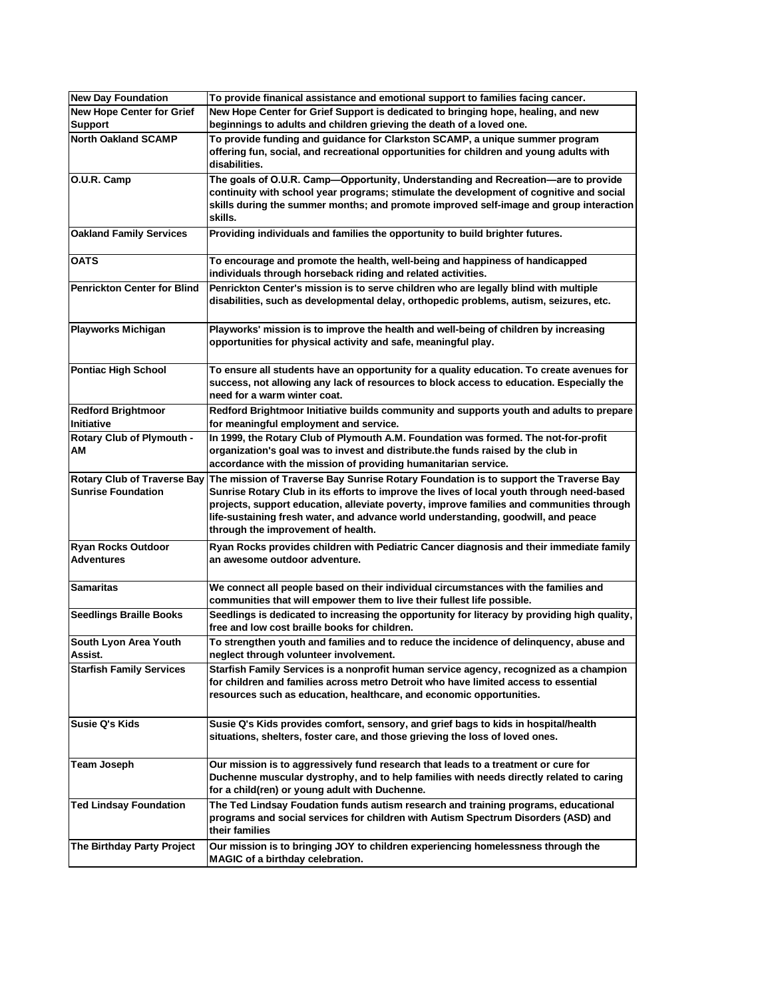| <b>New Day Foundation</b>          | To provide finanical assistance and emotional support to families facing cancer.             |
|------------------------------------|----------------------------------------------------------------------------------------------|
| <b>New Hope Center for Grief</b>   | New Hope Center for Grief Support is dedicated to bringing hope, healing, and new            |
| <b>Support</b>                     | beginnings to adults and children grieving the death of a loved one.                         |
| <b>North Oakland SCAMP</b>         | To provide funding and quidance for Clarkston SCAMP, a unique summer program                 |
|                                    | offering fun, social, and recreational opportunities for children and young adults with      |
|                                    | disabilities.                                                                                |
| O.U.R. Camp                        | The goals of O.U.R. Camp-Opportunity, Understanding and Recreation-are to provide            |
|                                    | continuity with school year programs; stimulate the development of cognitive and social      |
|                                    | skills during the summer months; and promote improved self-image and group interaction       |
|                                    | skills.                                                                                      |
| <b>Oakland Family Services</b>     | Providing individuals and families the opportunity to build brighter futures.                |
|                                    |                                                                                              |
| <b>OATS</b>                        | To encourage and promote the health, well-being and happiness of handicapped                 |
|                                    | individuals through horseback riding and related activities.                                 |
| <b>Penrickton Center for Blind</b> | Penrickton Center's mission is to serve children who are legally blind with multiple         |
|                                    | disabilities, such as developmental delay, orthopedic problems, autism, seizures, etc.       |
|                                    |                                                                                              |
| <b>Playworks Michigan</b>          | Playworks' mission is to improve the health and well-being of children by increasing         |
|                                    | opportunities for physical activity and safe, meaningful play.                               |
|                                    |                                                                                              |
| <b>Pontiac High School</b>         | To ensure all students have an opportunity for a quality education. To create avenues for    |
|                                    | success, not allowing any lack of resources to block access to education. Especially the     |
|                                    | need for a warm winter coat.                                                                 |
| <b>Redford Brightmoor</b>          | Redford Brightmoor Initiative builds community and supports youth and adults to prepare      |
| Initiative                         | for meaningful employment and service.                                                       |
| <b>Rotary Club of Plymouth -</b>   | In 1999, the Rotary Club of Plymouth A.M. Foundation was formed. The not-for-profit          |
| АM                                 | organization's goal was to invest and distribute.the funds raised by the club in             |
|                                    | accordance with the mission of providing humanitarian service.                               |
| <b>Rotary Club of Traverse Bay</b> | The mission of Traverse Bay Sunrise Rotary Foundation is to support the Traverse Bay         |
| <b>Sunrise Foundation</b>          | Sunrise Rotary Club in its efforts to improve the lives of local youth through need-based    |
|                                    | projects, support education, alleviate poverty, improve families and communities through     |
|                                    | life-sustaining fresh water, and advance world understanding, goodwill, and peace            |
|                                    | through the improvement of health.                                                           |
| <b>Ryan Rocks Outdoor</b>          | Ryan Rocks provides children with Pediatric Cancer diagnosis and their immediate family      |
| <b>Adventures</b>                  | an awesome outdoor adventure.                                                                |
|                                    |                                                                                              |
| Samaritas                          | We connect all people based on their individual circumstances with the families and          |
|                                    | communities that will empower them to live their fullest life possible.                      |
| <b>Seedlings Braille Books</b>     | Seedlings is dedicated to increasing the opportunity for literacy by providing high quality, |
|                                    | free and low cost braille books for children.                                                |
| South Lyon Area Youth              | To strengthen youth and families and to reduce the incidence of delinguency, abuse and       |
| Assist.                            | neglect through volunteer involvement.                                                       |
| <b>Starfish Family Services</b>    | Starfish Family Services is a nonprofit human service agency, recognized as a champion       |
|                                    | for children and families across metro Detroit who have limited access to essential          |
|                                    | resources such as education, healthcare, and economic opportunities.                         |
|                                    |                                                                                              |
| Susie Q's Kids                     | Susie Q's Kids provides comfort, sensory, and grief bags to kids in hospital/health          |
|                                    | situations, shelters, foster care, and those grieving the loss of loved ones.                |
|                                    |                                                                                              |
| <b>Team Joseph</b>                 | Our mission is to aggressively fund research that leads to a treatment or cure for           |
|                                    | Duchenne muscular dystrophy, and to help families with needs directly related to caring      |
|                                    | for a child(ren) or young adult with Duchenne.                                               |
| <b>Ted Lindsay Foundation</b>      | The Ted Lindsay Foudation funds autism research and training programs, educational           |
|                                    | programs and social services for children with Autism Spectrum Disorders (ASD) and           |
|                                    | their families                                                                               |
| The Birthday Party Project         | Our mission is to bringing JOY to children experiencing homelessness through the             |
|                                    | MAGIC of a birthday celebration.                                                             |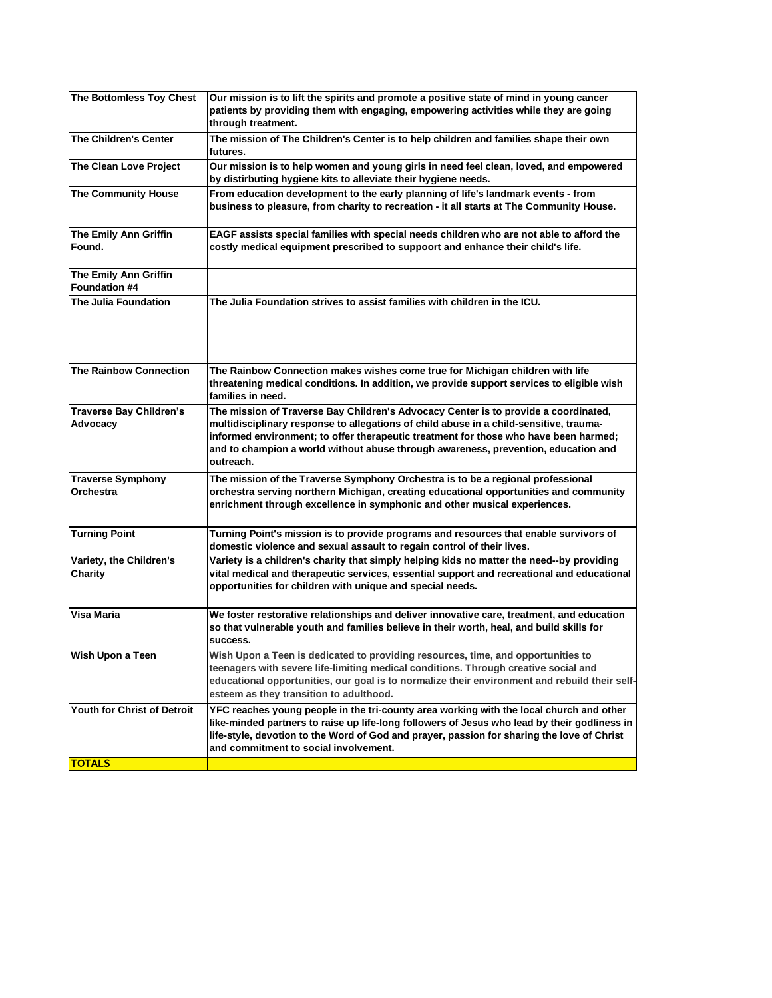| The Bottomless Toy Chest                             | Our mission is to lift the spirits and promote a positive state of mind in young cancer<br>patients by providing them with engaging, empowering activities while they are going<br>through treatment.                                                                                                                                                                    |
|------------------------------------------------------|--------------------------------------------------------------------------------------------------------------------------------------------------------------------------------------------------------------------------------------------------------------------------------------------------------------------------------------------------------------------------|
| <b>The Children's Center</b>                         | The mission of The Children's Center is to help children and families shape their own<br>futures.                                                                                                                                                                                                                                                                        |
| <b>The Clean Love Project</b>                        | Our mission is to help women and young girls in need feel clean, loved, and empowered<br>by distirbuting hygiene kits to alleviate their hygiene needs.                                                                                                                                                                                                                  |
| <b>The Community House</b>                           | From education development to the early planning of life's landmark events - from<br>business to pleasure, from charity to recreation - it all starts at The Community House.                                                                                                                                                                                            |
| The Emily Ann Griffin<br>Found.                      | EAGF assists special families with special needs children who are not able to afford the<br>costly medical equipment prescribed to suppoort and enhance their child's life.                                                                                                                                                                                              |
| <b>The Emily Ann Griffin</b><br><b>Foundation #4</b> |                                                                                                                                                                                                                                                                                                                                                                          |
| The Julia Foundation                                 | The Julia Foundation strives to assist families with children in the ICU.                                                                                                                                                                                                                                                                                                |
| <b>The Rainbow Connection</b>                        | The Rainbow Connection makes wishes come true for Michigan children with life<br>threatening medical conditions. In addition, we provide support services to eligible wish<br>families in need.                                                                                                                                                                          |
| <b>Traverse Bay Children's</b><br>Advocacy           | The mission of Traverse Bay Children's Advocacy Center is to provide a coordinated,<br>multidisciplinary response to allegations of child abuse in a child-sensitive, trauma-<br>informed environment; to offer therapeutic treatment for those who have been harmed;<br>and to champion a world without abuse through awareness, prevention, education and<br>outreach. |
| <b>Traverse Symphony</b><br><b>Orchestra</b>         | The mission of the Traverse Symphony Orchestra is to be a regional professional<br>orchestra serving northern Michigan, creating educational opportunities and community<br>enrichment through excellence in symphonic and other musical experiences.                                                                                                                    |
| <b>Turning Point</b>                                 | Turning Point's mission is to provide programs and resources that enable survivors of<br>domestic violence and sexual assault to regain control of their lives.                                                                                                                                                                                                          |
| Variety, the Children's<br>Charity                   | Variety is a children's charity that simply helping kids no matter the need--by providing<br>vital medical and therapeutic services, essential support and recreational and educational<br>opportunities for children with unique and special needs.                                                                                                                     |
| Visa Maria                                           | We foster restorative relationships and deliver innovative care, treatment, and education<br>so that vulnerable youth and families believe in their worth, heal, and build skills for<br>success.                                                                                                                                                                        |
| Wish Upon a Teen                                     | Wish Upon a Teen is dedicated to providing resources, time, and opportunities to<br>teenagers with severe life-limiting medical conditions. Through creative social and<br>educational opportunities, our goal is to normalize their environment and rebuild their self-<br>esteem as they transition to adulthood.                                                      |
| <b>Youth for Christ of Detroit</b>                   | YFC reaches young people in the tri-county area working with the local church and other<br>like-minded partners to raise up life-long followers of Jesus who lead by their godliness in<br>life-style, devotion to the Word of God and prayer, passion for sharing the love of Christ<br>and commitment to social involvement.                                           |
| <b>TOTALS</b>                                        |                                                                                                                                                                                                                                                                                                                                                                          |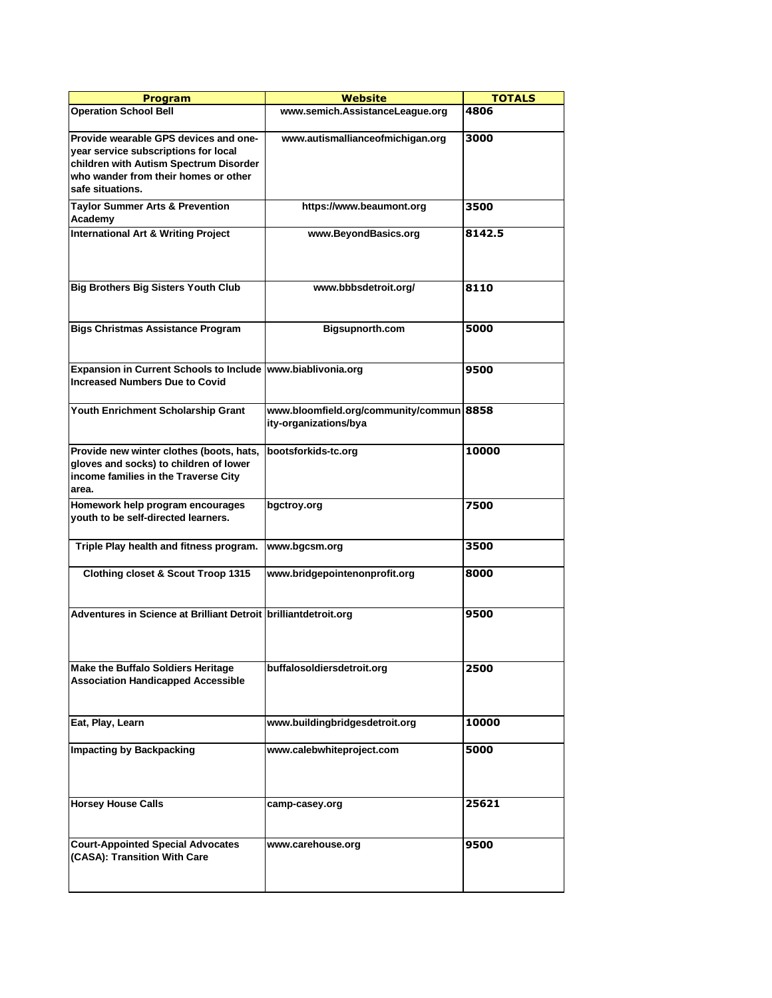| <b>Program</b>                                                                                                                                                                      | Website                                                           | <b>TOTALS</b> |
|-------------------------------------------------------------------------------------------------------------------------------------------------------------------------------------|-------------------------------------------------------------------|---------------|
| <b>Operation School Bell</b>                                                                                                                                                        | www.semich.AssistanceLeague.org                                   | 4806          |
| Provide wearable GPS devices and one-<br>year service subscriptions for local<br>children with Autism Spectrum Disorder<br>who wander from their homes or other<br>safe situations. | www.autismallianceofmichigan.org                                  | 3000          |
| <b>Taylor Summer Arts &amp; Prevention</b><br>Academy                                                                                                                               | https://www.beaumont.org                                          | 3500          |
| <b>International Art &amp; Writing Project</b>                                                                                                                                      | www.BeyondBasics.org                                              | 8142.5        |
| <b>Big Brothers Big Sisters Youth Club</b>                                                                                                                                          | www.bbbsdetroit.org/                                              | 8110          |
| <b>Bigs Christmas Assistance Program</b>                                                                                                                                            | Bigsupnorth.com                                                   | 5000          |
| Expansion in Current Schools to Include   www.biablivonia.org<br><b>Increased Numbers Due to Covid</b>                                                                              |                                                                   | 9500          |
| Youth Enrichment Scholarship Grant                                                                                                                                                  | www.bloomfield.org/community/commun 8858<br>ity-organizations/bya |               |
| Provide new winter clothes (boots, hats,<br>gloves and socks) to children of lower<br>income families in the Traverse City<br>area.                                                 | bootsforkids-tc.org                                               | 10000         |
| Homework help program encourages<br>youth to be self-directed learners.                                                                                                             | bgctroy.org                                                       | 7500          |
| Triple Play health and fitness program.                                                                                                                                             | www.bgcsm.org                                                     | 3500          |
| Clothing closet & Scout Troop 1315                                                                                                                                                  | www.bridgepointenonprofit.org                                     | 8000          |
| Adventures in Science at Brilliant Detroit brilliantdetroit.org                                                                                                                     |                                                                   | 9500          |
| <b>Make the Buffalo Soldiers Heritage</b><br><b>Association Handicapped Accessible</b>                                                                                              | buffalosoldiersdetroit.org                                        | 2500          |
| Eat, Play, Learn                                                                                                                                                                    | www.buildingbridgesdetroit.org                                    | 10000         |
| <b>Impacting by Backpacking</b>                                                                                                                                                     | www.calebwhiteproject.com                                         | 5000          |
| <b>Horsey House Calls</b>                                                                                                                                                           | camp-casey.org                                                    | 25621         |
| <b>Court-Appointed Special Advocates</b><br>(CASA): Transition With Care                                                                                                            | www.carehouse.org                                                 | 9500          |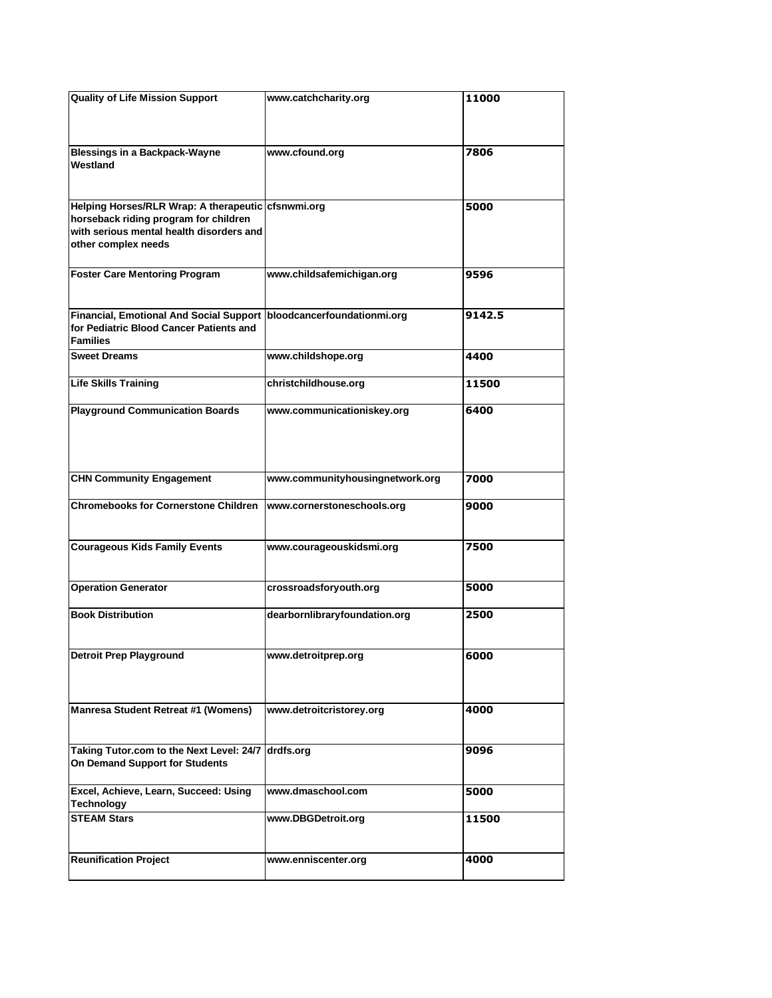| <b>Quality of Life Mission Support</b>                                                                                                                         | www.catchcharity.org            | 11000  |
|----------------------------------------------------------------------------------------------------------------------------------------------------------------|---------------------------------|--------|
| <b>Blessings in a Backpack-Wayne</b><br>Westland                                                                                                               | www.cfound.org                  | 7806   |
| Helping Horses/RLR Wrap: A therapeutic cfsnwmi.org<br>horseback riding program for children<br>with serious mental health disorders and<br>other complex needs |                                 | 5000   |
| <b>Foster Care Mentoring Program</b>                                                                                                                           | www.childsafemichigan.org       | 9596   |
| Financial, Emotional And Social Support bloodcancerfoundationmi.org<br>for Pediatric Blood Cancer Patients and<br><b>Families</b>                              |                                 | 9142.5 |
| <b>Sweet Dreams</b>                                                                                                                                            | www.childshope.org              | 4400   |
| <b>Life Skills Training</b>                                                                                                                                    | christchildhouse.org            | 11500  |
| <b>Playground Communication Boards</b>                                                                                                                         | www.communicationiskey.org      | 6400   |
| <b>CHN Community Engagement</b>                                                                                                                                | www.communityhousingnetwork.org | 7000   |
| <b>Chromebooks for Cornerstone Children</b>                                                                                                                    | www.cornerstoneschools.org      | 9000   |
| <b>Courageous Kids Family Events</b>                                                                                                                           | www.courageouskidsmi.org        | 7500   |
| <b>Operation Generator</b>                                                                                                                                     | crossroadsforyouth.org          | 5000   |
| <b>Book Distribution</b>                                                                                                                                       | dearbornlibraryfoundation.org   | 2500   |
| Detroit Prep Playground                                                                                                                                        | www.detroitprep.org             | 6000   |
| Manresa Student Retreat #1 (Womens)                                                                                                                            | www.detroitcristorey.org        | 4000   |
| Taking Tutor.com to the Next Level: 24/7<br>On Demand Support for Students                                                                                     | drdfs.org                       | 9096   |
| Excel, Achieve, Learn, Succeed: Using<br><b>Technology</b>                                                                                                     | www.dmaschool.com               | 5000   |
| <b>STEAM Stars</b>                                                                                                                                             | www.DBGDetroit.org              | 11500  |
| <b>Reunification Project</b>                                                                                                                                   | www.enniscenter.org             | 4000   |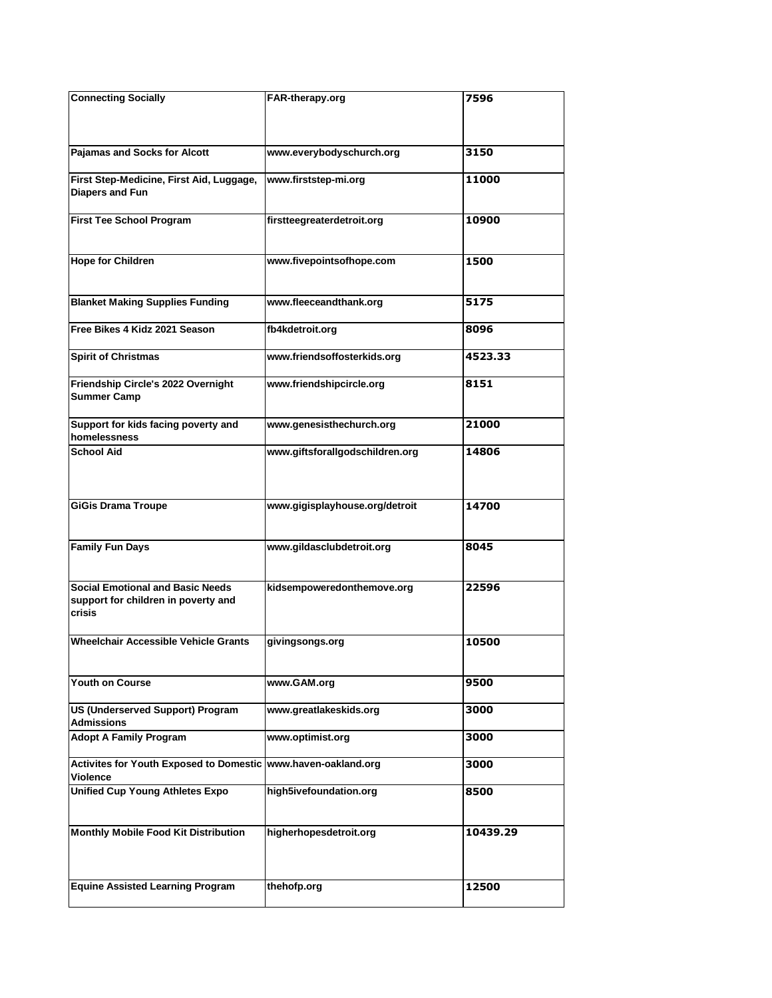| <b>Connecting Socially</b>                                      | FAR-therapy.org                 | 7596     |
|-----------------------------------------------------------------|---------------------------------|----------|
|                                                                 |                                 |          |
|                                                                 |                                 |          |
| Pajamas and Socks for Alcott                                    | www.everybodyschurch.org        | 3150     |
|                                                                 |                                 |          |
| First Step-Medicine, First Aid, Luggage,<br>Diapers and Fun     | www.firststep-mi.org            | 11000    |
|                                                                 |                                 |          |
| <b>First Tee School Program</b>                                 | firstteegreaterdetroit.org      | 10900    |
|                                                                 |                                 |          |
| <b>Hope for Children</b>                                        | www.fivepointsofhope.com        | 1500     |
|                                                                 |                                 |          |
|                                                                 |                                 |          |
| <b>Blanket Making Supplies Funding</b>                          | www.fleeceandthank.org          | 5175     |
| Free Bikes 4 Kidz 2021 Season                                   | fb4kdetroit.org                 | 8096     |
|                                                                 |                                 |          |
| <b>Spirit of Christmas</b>                                      | www.friendsoffosterkids.org     | 4523.33  |
| Friendship Circle's 2022 Overnight                              | www.friendshipcircle.org        | 8151     |
| <b>Summer Camp</b>                                              |                                 |          |
|                                                                 |                                 |          |
| Support for kids facing poverty and<br>homelessness             | www.genesisthechurch.org        | 21000    |
| <b>School Aid</b>                                               | www.giftsforallgodschildren.org | 14806    |
|                                                                 |                                 |          |
|                                                                 |                                 |          |
| <b>GiGis Drama Troupe</b>                                       | www.gigisplayhouse.org/detroit  | 14700    |
|                                                                 |                                 |          |
|                                                                 |                                 |          |
| <b>Family Fun Days</b>                                          | www.gildasclubdetroit.org       | 8045     |
|                                                                 |                                 |          |
| <b>Social Emotional and Basic Needs</b>                         | kidsempoweredonthemove.org      | 22596    |
| support for children in poverty and<br><b>crisis</b>            |                                 |          |
|                                                                 |                                 |          |
| <b>Wheelchair Accessible Vehicle Grants</b>                     | givingsongs.org                 | 10500    |
|                                                                 |                                 |          |
| Youth on Course                                                 | www.GAM.org                     | 9500     |
|                                                                 |                                 |          |
| US (Underserved Support) Program                                | www.greatlakeskids.org          | 3000     |
| <b>Admissions</b>                                               |                                 |          |
| <b>Adopt A Family Program</b>                                   | www.optimist.org                | 3000     |
| Activites for Youth Exposed to Domestic   www.haven-oakland.org |                                 | 3000     |
| <b>Violence</b>                                                 |                                 |          |
| <b>Unified Cup Young Athletes Expo</b>                          | high5ivefoundation.org          | 8500     |
|                                                                 |                                 |          |
| Monthly Mobile Food Kit Distribution                            | higherhopesdetroit.org          | 10439.29 |
|                                                                 |                                 |          |
|                                                                 |                                 |          |
| <b>Equine Assisted Learning Program</b>                         | thehofp.org                     | 12500    |
|                                                                 |                                 |          |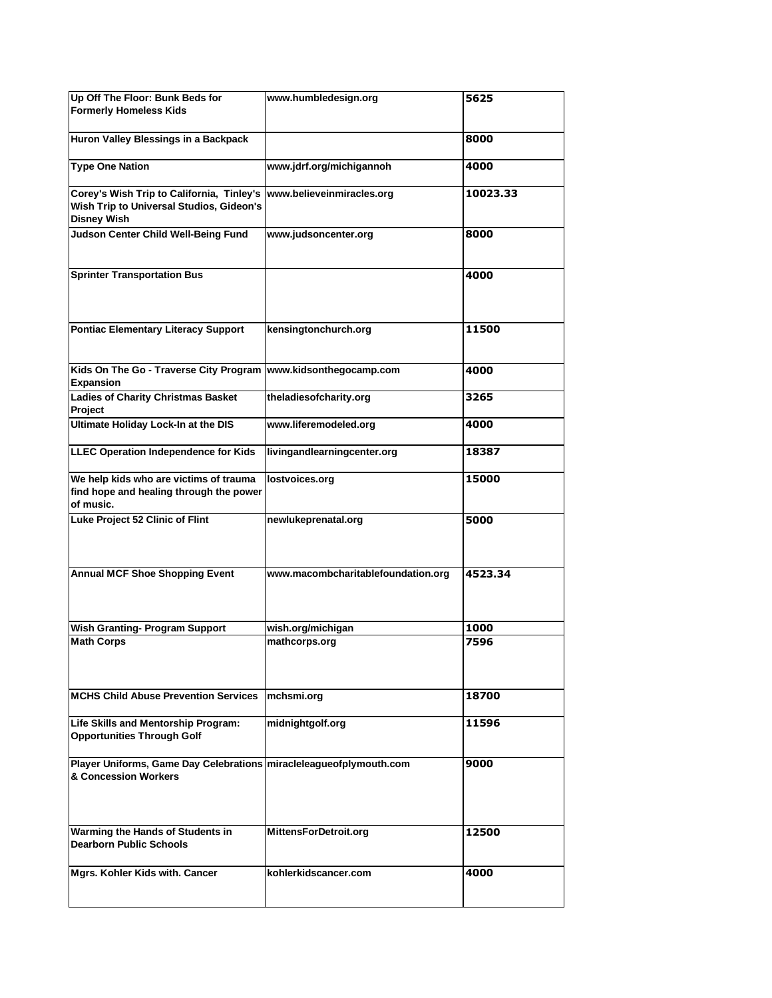| Up Off The Floor: Bunk Beds for<br><b>Formerly Homeless Kids</b>                                                                       | www.humbledesign.org               | 5625     |
|----------------------------------------------------------------------------------------------------------------------------------------|------------------------------------|----------|
| Huron Valley Blessings in a Backpack                                                                                                   |                                    | 8000     |
| <b>Type One Nation</b>                                                                                                                 | www.jdrf.org/michigannoh           | 4000     |
| Corey's Wish Trip to California, Tinley's  www.believeinmiracles.org<br>Wish Trip to Universal Studios, Gideon's<br><b>Disney Wish</b> |                                    | 10023.33 |
| Judson Center Child Well-Being Fund                                                                                                    | www.judsoncenter.org               | 8000     |
| <b>Sprinter Transportation Bus</b>                                                                                                     |                                    | 4000     |
| Pontiac Elementary Literacy Support                                                                                                    | kensingtonchurch.org               | 11500    |
| Kids On The Go - Traverse City Program<br><b>Expansion</b>                                                                             | www.kidsonthegocamp.com            | 4000     |
| <b>Ladies of Charity Christmas Basket</b><br>Project                                                                                   | theladiesofcharity.org             | 3265     |
| Ultimate Holiday Lock-In at the DIS                                                                                                    | www.liferemodeled.org              | 4000     |
| <b>LLEC Operation Independence for Kids</b>                                                                                            | livingandlearningcenter.org        | 18387    |
| We help kids who are victims of trauma<br>find hope and healing through the power<br>of music.                                         | lostvoices.org                     | 15000    |
| Luke Project 52 Clinic of Flint                                                                                                        | newlukeprenatal.org                | 5000     |
| <b>Annual MCF Shoe Shopping Event</b>                                                                                                  | www.macombcharitablefoundation.org | 4523.34  |
| <b>Wish Granting- Program Support</b>                                                                                                  | wish.org/michigan                  | 1000     |
| <b>Math Corps</b>                                                                                                                      | mathcorps.org                      | 7596     |
| <b>MCHS Child Abuse Prevention Services</b>                                                                                            | mchsmi.org                         | 18700    |
| Life Skills and Mentorship Program:<br><b>Opportunities Through Golf</b>                                                               | midnightgolf.org                   | 11596    |
| Player Uniforms, Game Day Celebrations miracleleagueofplymouth.com<br>& Concession Workers                                             |                                    | 9000     |
| Warming the Hands of Students in<br><b>Dearborn Public Schools</b>                                                                     | MittensForDetroit.org              | 12500    |
| Mgrs. Kohler Kids with. Cancer                                                                                                         | kohlerkidscancer.com               | 4000     |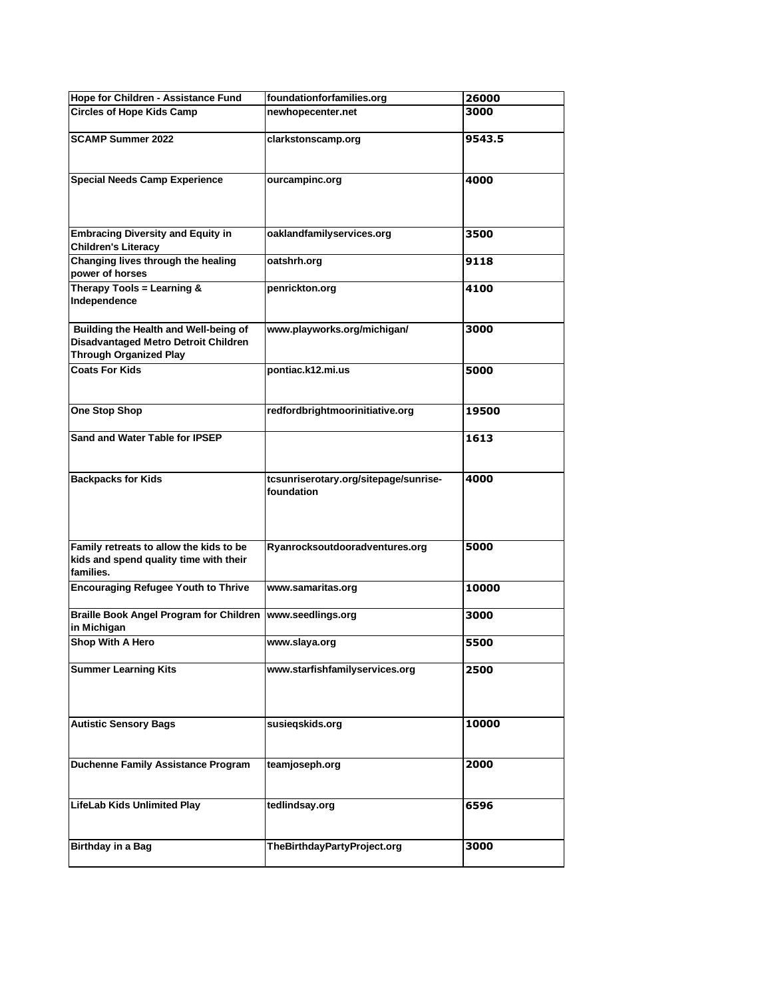| Hope for Children - Assistance Fund                                                                            | foundationforfamilies.org                           | 26000  |
|----------------------------------------------------------------------------------------------------------------|-----------------------------------------------------|--------|
| <b>Circles of Hope Kids Camp</b>                                                                               | newhopecenter.net                                   | 3000   |
| <b>SCAMP Summer 2022</b>                                                                                       | clarkstonscamp.org                                  | 9543.5 |
| <b>Special Needs Camp Experience</b>                                                                           | ourcampinc.org                                      | 4000   |
| <b>Embracing Diversity and Equity in</b><br><b>Children's Literacy</b>                                         | oaklandfamilyservices.org                           | 3500   |
| Changing lives through the healing<br>power of horses                                                          | oatshrh.org                                         | 9118   |
| Therapy Tools = Learning &<br>Independence                                                                     | penrickton.org                                      | 4100   |
| Building the Health and Well-being of<br>Disadvantaged Metro Detroit Children<br><b>Through Organized Play</b> | www.playworks.org/michigan/                         | 3000   |
| <b>Coats For Kids</b>                                                                                          | pontiac.k12.mi.us                                   | 5000   |
| <b>One Stop Shop</b>                                                                                           | redfordbrightmoorinitiative.org                     | 19500  |
| Sand and Water Table for IPSEP                                                                                 |                                                     | 1613   |
| <b>Backpacks for Kids</b>                                                                                      | tcsunriserotary.org/sitepage/sunrise-<br>foundation | 4000   |
| Family retreats to allow the kids to be<br>kids and spend quality time with their<br>families.                 | Ryanrocksoutdooradventures.org                      | 5000   |
| <b>Encouraging Refugee Youth to Thrive</b>                                                                     | www.samaritas.org                                   | 10000  |
| Braille Book Angel Program for Children<br>in Michigan                                                         | www.seedlings.org                                   | 3000   |
| Shop With A Hero                                                                                               | www.slaya.org                                       | 5500   |
| <b>Summer Learning Kits</b>                                                                                    | www.starfishfamilyservices.org                      | 2500   |
| <b>Autistic Sensory Bags</b>                                                                                   | susieqskids.org                                     | 10000  |
| <b>Duchenne Family Assistance Program</b>                                                                      | teamjoseph.org                                      | 2000   |
| <b>LifeLab Kids Unlimited Play</b>                                                                             | tedlindsay.org                                      | 6596   |
| <b>Birthday in a Bag</b>                                                                                       | TheBirthdayPartyProject.org                         | 3000   |